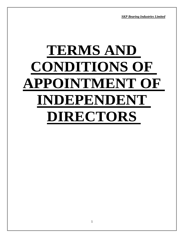*SKP Bearing Industries Limited*

# **TERMS AND CONDITIONS OF APPOINTMENT OF INDEPENDENT DIRECTORS**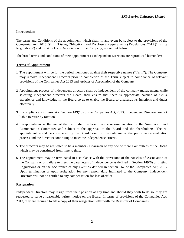# **Introduction:**

The terms and Conditions of the appointment, which shall, in any event be subject to the provisions of the Companies Act, 2013, SEBI (Listing Obligations and Disclosure Requirements) Regulations, 2015 ('Listing Regulations') and the Articles of Association of the Company, are set out below.

The broad terms and conditions of their appointment as Independent Directors are reproduced hereunder:

# **Terms of Appointment**

- 1. The appointment will be for the period mentioned against their respective names ("Term"). The Company may remove Independent Directors prior to completion of the Term subject to compliance of relevant provisions of the Companies Act 2013 and Articles of Association of the Company.
- 2. Appointment process of independent directors shall be independent of the company management, while selecting independent directors the Board shall ensure that there is appropriate balance of skills, experience and knowledge in the Board so as to enable the Board to discharge its functions and duties effectively.
- 3. In compliance with provision Section 149(13) of the Companies Act, 2013, Independent Directors are not liable to retire by rotation.
- 4. Re-appointment at the end of the Term shall be based on the recommendation of the Nomination and Remuneration Committee and subject to the approval of the Board and the shareholders. The reappointment would be considered by the Board based on the outcome of the performance evaluation process and the directors continuing to meet the independence criteria.
- 5. The directors may be requested to be a member / Chairman of any one or more Committees of the Board which may be constituted from time to time.
- 6. The appointment may be terminated in accordance with the provisions of the Articles of Association of the Company or on failure to meet the parameters of independence as defined in Section 149(6) or Listing Regulations or on the occurrence of any event as defined in section 167 of the Companies Act, 2013. Upon termination or upon resignation for any reason, duly intimated to the Company, Independent Directors will not be entitled to any compensation for loss ofoffice.

# **Resignation**

Independent Directors may resign from their position at any time and should they wish to do so, they are requested to serve a reasonable written notice on the Board. In terms of provisions of the Companies Act, 2013, they are required to file a copy of their resignation letter with the Registrar of Companies.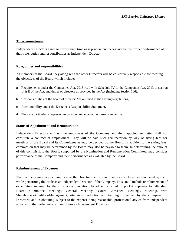### **Time commitment**

Independent Directors agree to devote such time as is prudent and necessary for the proper performance of their role, duties and responsibilities as Independent Director.

### **Role, duties and responsibilities**

As members of the Board, they along with the other Directors will be collectively responsible for meeting the objectives of the Board which include:

- a. Requirements under the Companies Act, 2013 read with Schedule IV to the Companies Act, 2013 to section 149(8) of the Act, and duties of directors as provided in the Act (including Section 166).
- b. "Responsibilities of the board of directors" as outlined in the Listing Regulations,
- c. Accountability under the Director's Responsibility Statement.
- d. They are particularly requested to provide guidance in their area of expertise.

# **Status of Appointment and Remuneration**

Independent Directors will not be employees of the Company and their appointment letter shall not constitute a contract of employment. They will be paid such remuneration by way of sitting fees for meetings of the Board and its Committees as may be decided by the Board. In addition to the sitting fees, commission that may be determined by the Board may also be payable to them. In determining the amount of this commission, the Board, supported by the Nomination and Remuneration Committee, may consider performance of the Company and their performance as evaluated by the Board.

# **Reimbursement of Expenses**

The Company may pay or reimburse to the Director such expenditure, as may have been incurred by them while performing their role as an Independent Director of the Company. This could include reimbursement of expenditure incurred by them for accommodation, travel and any out of pocket expenses for attending Board/ Committee Meetings, General Meetings, Court Convened Meetings, Meetings with Shareholders/Creditors/Management, site visits, induction and training (organized by the Company for Directors) and in obtaining, subject to the expense being reasonable, professional advice from independent advisors in the furtherance of their duties as Independent Directors.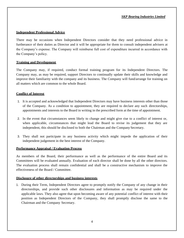# **Independent Professional Advice**

There may be occasions when Independent Directors consider that they need professional advice in furtherance of their duties as Director and it will be appropriate for them to consult independent advisers at the Company's expense. The Company will reimburse full cost of expenditure incurred in accordance with the Company's policy.

# **Training and Development**

The Company may, if required, conduct formal training program for its Independent Directors. The Company may, as may be required, support Directors to continually update their skills and knowledge and improve their familiarity with the company and its business. The Company will fund/arrange for training on all matters which are common to the whole Board.

# **Conflict of Interest**

- 1. It is accepted and acknowledged that Independent Directors may have business interests other than those of the Company. As a condition to appointment, they are required to declare any such directorships, appointments and interests to the Board in writing in the prescribed form at the time of appointment.
- 2. In the event that circumstances seem likely to change and might give rise to a conflict of interest or, when applicable, circumstances that might lead the Board to revise its judgement that they are independent, this should be disclosed to both the Chairman and the Company Secretary.
- 3. They shall not participate in any business activity which might impede the application of their independent judgement in the best interest of the Company.

# **Performance Appraisal / Evaluation Process**

As members of the Board, their performance as well as the performance of the entire Board and its Committees will be evaluated annually. Evaluation of each director shall be done by all the other directors. The evaluation process shall remain confidential and shall be a constructive mechanism to improve the effectiveness of the Board / Committee.

# **Disclosure of other directorships and business interests**

1. During their Term, Independent Directors agree to promptly notify the Company of any change in their directorships, and provide such other disclosures and information as may be required under the applicable laws. They also agree that upon becoming aware of any potential conflict of interest with their position as Independent Directors of the Company, they shall promptly disclose the same to the Chairman and the Company Secretary.